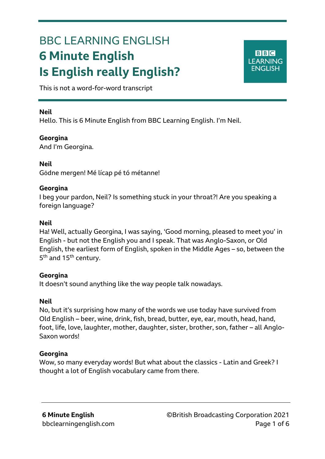# BBC LEARNING ENGLISH **6 Minute English Is English really English?**

**BBC LEARNING ENGLISH** 

This is not a word-for-word transcript

#### **Neil**

Ξ

Hello. This is 6 Minute English from BBC Learning English. I'm Neil.

#### **Georgina**

And I'm Georgina.

#### **Neil**

Gōdne mergen! [Mé](https://en.wiktionary.org/wiki/%C3%A9) [líc](https://en.wiktionary.org/wiki/%C3%AD)ap [pé](https://en.wiktionary.org/wiki/%C3%A9) tó [mét](https://en.wiktionary.org/wiki/%C3%A9)anne!

#### **Georgina**

I beg your pardon, Neil? Is something stuck in your throat?! Are you speaking a foreign language?

#### **Neil**

Ha! Well, actually Georgina, I was saying, 'Good morning, pleased to meet you' in English - but not the English you and I speak. That was Anglo-Saxon, or Old English, the earliest form of English, spoken in the Middle Ages – so, between the 5<sup>th</sup> and 15<sup>th</sup> century.

#### **Georgina**

It doesn't sound anything like the way people talk nowadays.

#### **Neil**

No, but it's surprising how many of the words we use today have survived from Old English – beer, wine, drink, fish, bread, butter, eye, ear, mouth, head, hand, foot, life, love, laughter, mother, daughter, sister, brother, son, father – all Anglo-Saxon words!

#### **Georgina**

Wow, so many everyday words! But what about the classics - Latin and Greek? I thought a lot of English vocabulary came from there.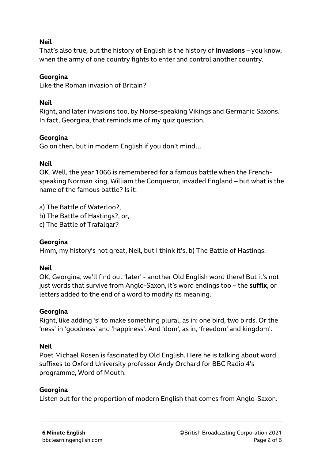# **Neil**

That's also true, but the history of English is the history of **invasions** – you know, when the army of one country fights to enter and control another country.

## **Georgina**

Like the Roman invasion of Britain?

# **Neil**

Right, and later invasions too, by Norse-speaking Vikings and Germanic Saxons. In fact, Georgina, that reminds me of my quiz question.

# **Georgina**

Go on then, but in modern English if you don't mind…

# **Neil**

OK. Well, the year 1066 is remembered for a famous battle when the Frenchspeaking Norman king, William the Conqueror, invaded England – but what is the name of the famous battle? Is it:

a) The Battle of Waterloo?, b) The Battle of Hastings?, or, c) The Battle of Trafalgar?

## **Georgina**

Hmm, my history's not great, Neil, but I think it's, b) The Battle of Hastings.

# **Neil**

OK, Georgina, we'll find out 'later' - another Old English word there! But it's not just words that survive from Anglo-Saxon, it's word endings too – the **suffix**, or letters added to the end of a word to modify its meaning.

## **Georgina**

Right, like adding 's' to make something plural, as in: one bird, two birds. Or the 'ness' in 'goodness' and 'happiness'. And 'dom', as in, 'freedom' and kingdom'.

# **Neil**

Poet Michael Rosen is fascinated by Old English. Here he is talking about word suffixes to Oxford University professor Andy Orchard for BBC Radio 4's programme, Word of Mouth.

## **Georgina**

Listen out for the proportion of modern English that comes from Anglo-Saxon.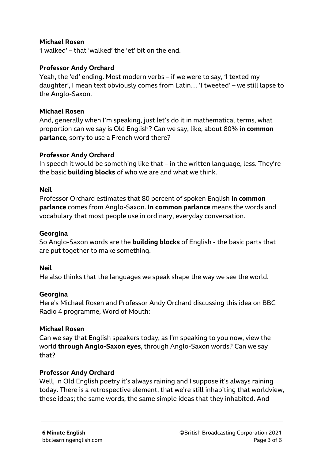## **Michael Rosen**

'I walked' – that 'walked' the 'et' bit on the end.

#### **Professor Andy Orchard**

Yeah, the 'ed' ending. Most modern verbs – if we were to say, 'I texted my daughter', I mean text obviously comes from Latin… 'I tweeted' – we still lapse to the Anglo-Saxon.

#### **Michael Rosen**

And, generally when I'm speaking, just let's do it in mathematical terms, what proportion can we say is Old English? Can we say, like, about 80% **in common parlance**, sorry to use a French word there?

#### **Professor Andy Orchard**

In speech it would be something like that – in the written language, less. They're the basic **building blocks** of who we are and what we think.

## **Neil**

Professor Orchard estimates that 80 percent of spoken English **in common parlance** comes from Anglo-Saxon. **In common parlance** means the words and vocabulary that most people use in ordinary, everyday conversation.

#### **Georgina**

So Anglo-Saxon words are the **building blocks** of English - the basic parts that are put together to make something.

#### **Neil**

He also thinks that the languages we speak shape the way we see the world.

#### **Georgina**

Here's Michael Rosen and Professor Andy Orchard discussing this idea on BBC Radio 4 programme, Word of Mouth:

#### **Michael Rosen**

Can we say that English speakers today, as I'm speaking to you now, view the world **through Anglo-Saxon eyes**, through Anglo-Saxon words? Can we say that?

## **Professor Andy Orchard**

Well, in Old English poetry it's always raining and I suppose it's always raining today. There is a retrospective element, that we're still inhabiting that worldview, those ideas; the same words, the same simple ideas that they inhabited. And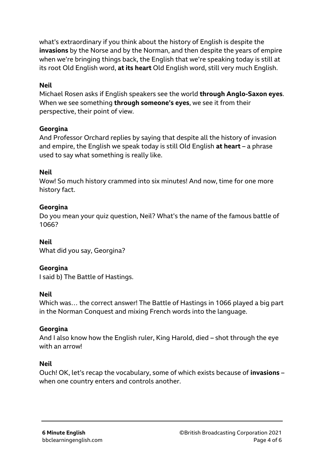what's extraordinary if you think about the history of English is despite the **invasions** by the Norse and by the Norman, and then despite the years of empire when we're bringing things back, the English that we're speaking today is still at its root Old English word, **at its heart** Old English word, still very much English.

# **Neil**

Michael Rosen asks if English speakers see the world **through Anglo-Saxon eyes**. When we see something **through someone's eyes**, we see it from their perspective, their point of view.

## **Georgina**

And Professor Orchard replies by saying that despite all the history of invasion and empire, the English we speak today is still Old English **at heart** – a phrase used to say what something is really like.

## **Neil**

Wow! So much history crammed into six minutes! And now, time for one more history fact.

# **Georgina**

Do you mean your quiz question, Neil? What's the name of the famous battle of 1066?

## **Neil**

What did you say, Georgina?

## **Georgina**

I said b) The Battle of Hastings.

## **Neil**

Which was… the correct answer! The Battle of Hastings in 1066 played a big part in the Norman Conquest and mixing French words into the language.

## **Georgina**

And I also know how the English ruler, King Harold, died – shot through the eye with an arrow!

## **Neil**

Ouch! OK, let's recap the vocabulary, some of which exists because of **invasions** – when one country enters and controls another.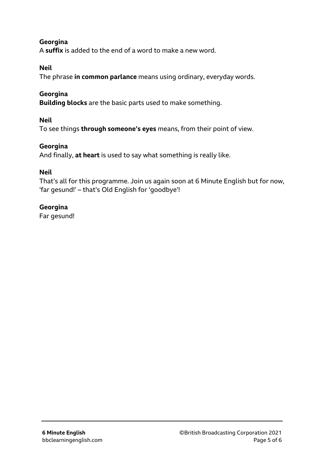# **Georgina**

A **suffix** is added to the end of a word to make a new word.

## **Neil**

The phrase **in common parlance** means using ordinary, everyday words.

# **Georgina**

**Building blocks** are the basic parts used to make something.

## **Neil**

To see things **through someone's eyes** means, from their point of view.

## **Georgina**

And finally, **at heart** is used to say what something is really like.

## **Neil**

That's all for this programme. Join us again soon at 6 Minute English but for now, 'far gesund!' – that's Old English for 'goodbye'!

## **Georgina**

Far gesund!